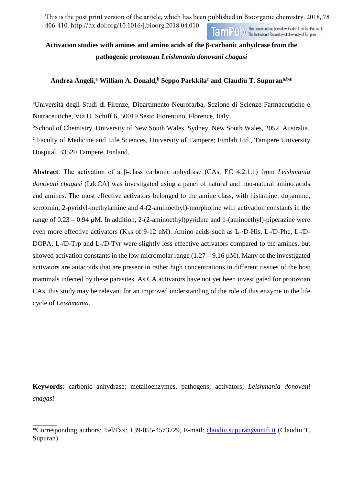This is the post print version of the article, which has been published in Bioorganic chemistry. 2018, 78 406-410. http://dx.doi.org/10.1016/j.bioorg.2018.04.010 This document has been downloaded from TamPub.uta.fi This document has been downloaded from TamPub.<br>The Institutional Repository of University of Tampere

# **Activation studies with amines and amino acids of the β-carbonic anhydrase from the pathogenic protozoan** *Leishmania donovani chagasi*

# **Andrea Angeli, <sup>a</sup> William A. Donald,b Seppo Parkkilac and Claudiu T. Supurana,b\***

a Università degli Studi di Firenze, Dipartimento Neurofarba, Sezione di Scienze Farmaceutiche e Nutraceutiche, Via U. Schiff 6, 50019 Sesto Fiorentino, Florence, Italy.

b School of Chemistry, University of New South Wales, Sydney, New South Wales, 2052, Australia. <sup>c</sup> Faculty of Medicine and Life Sciences, University of Tampere; Fimlab Ltd., Tampere University Hospital, 33520 Tampere, Finland.

**Abstract**. The activation of a β-class carbonic anhydrase (CAs, EC 4.2.1.1) from *Leishmania donovani chagasi* (LdcCA) was investigated using a panel of natural and non-natural amino acids and amines. The most effective activators belonged to the amine class, with histamine, dopamine, serotonin, 2-pyridyl-methylamine and 4-(2-aminoethyl)-morpholine with activation constants in the range of  $0.23 - 0.94 \mu$ M. In addition, 2-(2-aminoethyl)pyridine and 1-(aminoethyl)-piperazine were even more effective activators (K<sub>AS</sub> of 9-12 nM). Amino acids such as L-/D-His, L-/D-Phe, L-/D-DOPA, L-/D-Trp and L-/D-Tyr were slightly less effective activators compared to the amines, but showed activation constants in the low micromolar range  $(1.27 - 9.16 \,\mu\text{M})$ . Many of the investigated activators are autacoids that are present in rather high concentrations in different tissues of the host mammals infected by these parasites. As CA activators have not yet been investigated for protozoan CAs, this study may be relevant for an improved understanding of the role of this enzyme in the life cycle of *Leishmania*.

**Keywords**: carbonic anhydrase; metalloenzymes, pathogens; activators; *Leishmania donovani chagasi*

 $\overline{\phantom{a}}$ 

<sup>\*</sup>Corresponding authors: Tel/Fax: +39-055-4573729, E-mail: [claudiu.supuran@unifi.it](mailto:claudiu.supuran@unifi.it) (Claudiu T. Supuran).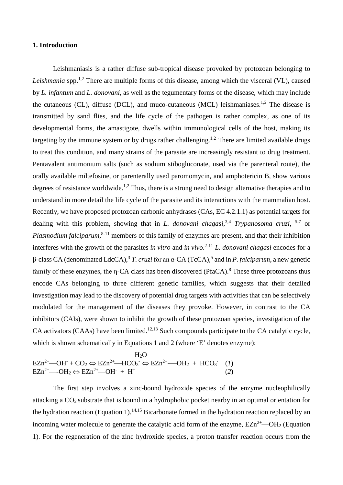#### **1. Introduction**

Leishmaniasis is a rather diffuse sub-tropical disease provoked by protozoan belonging to *Leishmania* spp.<sup>1,2</sup> There are multiple forms of this disease, among which the visceral (VL), caused by *L. infantum* and *L. donovani*, as well as the tegumentary forms of the disease, which may include the cutaneous (CL), diffuse (DCL), and muco-cutaneous (MCL) leishmaniases.<sup>1,2</sup> The disease is transmitted by sand flies, and the life cycle of the pathogen is rather complex, as one of its developmental forms, the amastigote, dwells within immunological cells of the host, making its targeting by the immune system or by drugs rather challenging.<sup>1,2</sup> There are limited available drugs to treat this condition, and many strains of the parasite are increasingly resistant to drug treatment. Pentavalent antimonium salts (such as sodium stibogluconate, used via the parenteral route), the orally available miltefosine, or parenterally used paromomycin, and amphotericin B, show various degrees of resistance worldwide.<sup>1,2</sup> Thus, there is a strong need to design alternative therapies and to understand in more detail the life cycle of the parasite and its interactions with the mammalian host. Recently, we have proposed protozoan carbonic anhydrases (CAs, EC 4.2.1.1) as potential targets for dealing with this problem, showing that in *L. donovani chagasi*, 3,4 *Trypanosoma cruzi*, 5-7 or *Plasmodium falciparum*, 8-11 members of this family of enzymes are present, and that their inhibition interferes with the growth of the parasites *in vitro* and *in vivo*. 2-11 *L. donovani chagasi* encodes for a β-class CA (denominated LdcCA),<sup>3</sup> *T. cruzi* for an α-CA (TcCA),5 and in *P. falciparum*, a new genetic family of these enzymes, the  $\eta$ -CA class has been discovered (PfaCA).<sup>8</sup> These three protozoans thus encode CAs belonging to three different genetic families, which suggests that their detailed investigation may lead to the discovery of potential drug targets with activities that can be selectively modulated for the management of the diseases they provoke. However, in contrast to the CA inhibitors (CAIs), were shown to inhibit the growth of these protozoan species, investigation of the CA activators (CAAs) have been limited.<sup>12,13</sup> Such compounds participate to the CA catalytic cycle, which is shown schematically in Equations 1 and 2 (where 'E' denotes enzyme):

$$
H_2O
$$
  
\n
$$
EZn^{2+} - OH^- + CO_2 \Leftrightarrow EZn^{2+} - HCO_3^- \Leftrightarrow EZn^{2+} - OH_2 + HCO_3^- (1)
$$
  
\n
$$
EZn^{2+} - OH_2 \Leftrightarrow EZn^{2+} - OH^- + H^+
$$
 (2)

The first step involves a zinc-bound hydroxide species of the enzyme nucleophilically attacking a CO2 substrate that is bound in a hydrophobic pocket nearby in an optimal orientation for the hydration reaction (Equation 1).<sup>14,15</sup> Bicarbonate formed in the hydration reaction replaced by an incoming water molecule to generate the catalytic acid form of the enzyme,  $EZn^{2+}$ —OH<sub>2</sub> (Equation 1). For the regeneration of the zinc hydroxide species, a proton transfer reaction occurs from the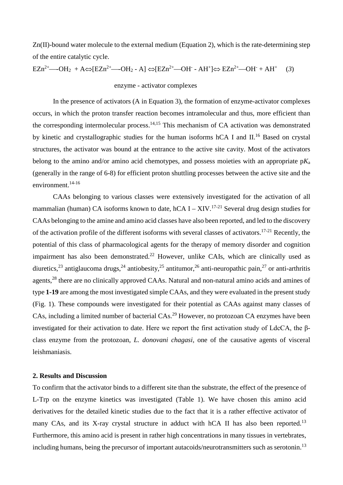Zn(II)-bound water molecule to the external medium (Equation 2), which is the rate-determining step of the entire catalytic cycle.

 $EZn^{2+}$ —OH<sub>2</sub> + A⇔[EZn<sup>2+</sup>—OH<sub>2</sub> - A] ⇔[EZn<sup>2+</sup>—OH - AH<sup>+</sup>]⇔ EZn<sup>2+</sup>—OH + AH<sup>+</sup> (*3*)

enzyme - activator complexes

In the presence of activators (A in Equation 3), the formation of enzyme-activator complexes occurs, in which the proton transfer reaction becomes intramolecular and thus, more efficient than the corresponding intermolecular process.<sup>14,15</sup> This mechanism of CA activation was demonstrated by kinetic and crystallographic studies for the human isoforms hCA I and II.<sup>16</sup> Based on crystal structures, the activator was bound at the entrance to the active site cavity. Most of the activators belong to the amino and/or amino acid chemotypes, and possess moieties with an appropriate p*K*<sup>a</sup> (generally in the range of 6-8) for efficient proton shuttling processes between the active site and the environment.<sup>14-16</sup>

CAAs belonging to various classes were extensively investigated for the activation of all mammalian (human) CA isoforms known to date, hCA I – XIV.<sup>17-21</sup> Several drug design studies for CAAs belonging to the amine and amino acid classes have also been reported, and led to the discovery of the activation profile of the different isoforms with several classes of activators.<sup>17-21</sup> Recently, the potential of this class of pharmacological agents for the therapy of memory disorder and cognition impairment has also been demonstrated.<sup>22</sup> However, unlike CAIs, which are clinically used as diuretics,<sup>23</sup> antiglaucoma drugs,<sup>24</sup> antiobesity,<sup>25</sup> antitumor,<sup>26</sup> anti-neuropathic pain,<sup>27</sup> or anti-arthritis agents,<sup>28</sup> there are no clinically approved CAAs. Natural and non-natural amino acids and amines of type **1-19** are among the most investigated simple CAAs, and they were evaluated in the present study (Fig. 1). These compounds were investigated for their potential as CAAs against many classes of CAs, including a limited number of bacterial CAs.29 However, no protozoan CA enzymes have been investigated for their activation to date. Here we report the first activation study of LdcCA, the βclass enzyme from the protozoan, *L. donovani chagasi*, one of the causative agents of visceral leishmaniasis.

## **2. Results and Discussion**

To confirm that the activator binds to a different site than the substrate, the effect of the presence of L-Trp on the enzyme kinetics was investigated (Table 1). We have chosen this amino acid derivatives for the detailed kinetic studies due to the fact that it is a rather effective activator of many CAs, and its X-ray crystal structure in adduct with hCA II has also been reported.<sup>13</sup> Furthermore, this amino acid is present in rather high concentrations in many tissues in vertebrates, including humans, being the precursor of important autacoids/neurotransmitters such as serotonin.<sup>13</sup>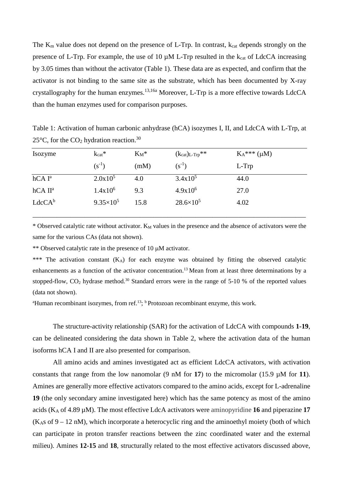The  $K_m$  value does not depend on the presence of L-Trp. In contrast,  $k_{cat}$  depends strongly on the presence of L-Trp. For example, the use of 10  $\mu$ M L-Trp resulted in the k<sub>cat</sub> of LdcCA increasing by 3.05 times than without the activator (Table 1). These data are as expected, and confirm that the activator is not binding to the same site as the substrate, which has been documented by X-ray crystallography for the human enzymes.<sup>13,16a</sup> Moreover, L-Trp is a more effective towards LdcCA than the human enzymes used for comparison purposes.

Table 1: Activation of human carbonic anhydrase (hCA) isozymes I, II, and LdcCA with L-Trp, at 25 $\degree$ C, for the CO<sub>2</sub> hydration reaction.<sup>30</sup>

| Isozyme             | $k_{cat}$ *        | $K_M^*$ | $(k_{cat})_{L-Trp}$ ** | $K_A^{***}(\mu M)$ |  |
|---------------------|--------------------|---------|------------------------|--------------------|--|
|                     | $(s^{-1})$         | (mM)    | $(s^{-1})$             | L-Trp              |  |
| hCAI <sup>a</sup>   | $2.0x10^5$         | 4.0     | $3.4x10^5$             | 44.0               |  |
| hCA II <sup>a</sup> | $1.4x10^6$         | 9.3     | $4.9x10^6$             | 27.0               |  |
| $LdcCA^b$           | $9.35 \times 10^5$ | 15.8    | $28.6 \times 10^5$     | 4.02               |  |

\* Observed catalytic rate without activator. K<sub>M</sub> values in the presence and the absence of activators were the same for the various CAs (data not shown).

\*\* Observed catalytic rate in the presence of 10  $\mu$ M activator.

\*\*\* The activation constant (KA) for each enzyme was obtained by fitting the observed catalytic enhancements as a function of the activator concentration.13 Mean from at least three determinations by a stopped-flow,  $CO_2$  hydrase method.<sup>30</sup> Standard errors were in the range of 5-10 % of the reported values (data not shown).

<sup>a</sup>Human recombinant isozymes, from ref.<sup>13</sup>; <sup>b</sup> Protozoan recombinant enzyme, this work.

The structure-activity relationship (SAR) for the activation of LdcCA with compounds **1-19**, can be delineated considering the data shown in Table 2, where the activation data of the human isoforms hCA I and II are also presented for comparison.

All amino acids and amines investigated act as efficient LdcCA activators, with activation constants that range from the low nanomolar  $(9 \text{ nM} \text{ for } 17)$  to the micromolar  $(15.9 \text{ µM} \text{ for } 11)$ . Amines are generally more effective activators compared to the amino acids, except for L-adrenaline **19** (the only secondary amine investigated here) which has the same potency as most of the amino acids (KA of 4.89 µM). The most effective LdcA activators were aminopyridine **16** and piperazine **17**  $(K<sub>AS</sub>$  of 9 – 12 nM), which incorporate a heterocyclic ring and the aminoethyl moiety (both of which can participate in proton transfer reactions between the zinc coordinated water and the external milieu). Amines **12-15** and **18**, structurally related to the most effective activators discussed above,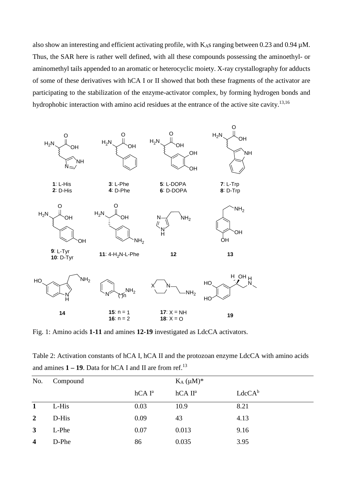also show an interesting and efficient activating profile, with  $K_{AS}$  ranging between 0.23 and 0.94  $\mu$ M. Thus, the SAR here is rather well defined, with all these compounds possessing the aminoethyl- or aminomethyl tails appended to an aromatic or heterocyclic moiety. X-ray crystallography for adducts of some of these derivatives with hCA I or II showed that both these fragments of the activator are participating to the stabilization of the enzyme-activator complex, by forming hydrogen bonds and hydrophobic interaction with amino acid residues at the entrance of the active site cavity.<sup>13,16</sup>



Fig. 1: Amino acids **1-11** and amines **12-19** investigated as LdcCA activators.

Table 2: Activation constants of hCA I, hCA II and the protozoan enzyme LdcCA with amino acids and amines **1 – 19**. Data for hCA I and II are from ref.13

| No.                     | Compound |                   | $K_A (\mu M)^*$     |           |
|-------------------------|----------|-------------------|---------------------|-----------|
|                         |          | hCAI <sup>a</sup> | hCA II <sup>a</sup> | $LdcCA^b$ |
| $\mathbf{1}$            | L-His    | 0.03              | 10.9                | 8.21      |
| $\overline{2}$          | D-His    | 0.09              | 43                  | 4.13      |
| $\mathbf{3}$            | L-Phe    | 0.07              | 0.013               | 9.16      |
| $\overline{\mathbf{4}}$ | D-Phe    | 86                | 0.035               | 3.95      |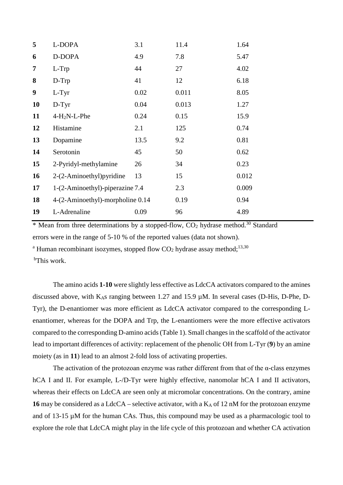| 5  | L-DOPA                           | 3.1  | 11.4  | 1.64  |
|----|----------------------------------|------|-------|-------|
| 6  | D-DOPA                           | 4.9  | 7.8   | 5.47  |
| 7  | L-Trp                            | 44   | 27    | 4.02  |
| 8  | $D-Trp$                          | 41   | 12    | 6.18  |
| 9  | $L-Tyr$                          | 0.02 | 0.011 | 8.05  |
| 10 | $D-Tyr$                          | 0.04 | 0.013 | 1.27  |
| 11 | $4-H2N-L-Phe$                    | 0.24 | 0.15  | 15.9  |
| 12 | Histamine                        | 2.1  | 125   | 0.74  |
| 13 | Dopamine                         | 13.5 | 9.2   | 0.81  |
| 14 | Serotonin                        | 45   | 50    | 0.62  |
| 15 | 2-Pyridyl-methylamine            | 26   | 34    | 0.23  |
| 16 | 2-(2-Aminoethyl) pyridine        | 13   | 15    | 0.012 |
| 17 | 1-(2-Aminoethyl)-piperazine 7.4  |      | 2.3   | 0.009 |
| 18 | 4-(2-Aminoethyl)-morpholine 0.14 |      | 0.19  | 0.94  |
| 19 | L-Adrenaline                     | 0.09 | 96    | 4.89  |
|    |                                  |      |       |       |

\* Mean from three determinations by a stopped-flow,  $CO<sub>2</sub>$  hydrase method.<sup>30</sup> Standard errors were in the range of 5-10 % of the reported values (data not shown).

<sup>a</sup> Human recombinant isozymes, stopped flow  $CO_2$  hydrase assay method;<sup>13,30</sup>

<sup>b</sup>This work.

The amino acids **1-10** were slightly less effective as LdcCA activators compared to the amines discussed above, with K<sub>A</sub>s ranging between 1.27 and 15.9  $\mu$ M. In several cases (D-His, D-Phe, D-Tyr), the D-enantiomer was more efficient as LdcCA activator compared to the corresponding Lenantiomer, whereas for the DOPA and Trp, the L-enantiomers were the more effective activators compared to the corresponding D-amino acids (Table 1). Small changes in the scaffold of the activator lead to important differences of activity: replacement of the phenolic OH from L-Tyr (**9**) by an amine moiety (as in **11**) lead to an almost 2-fold loss of activating properties.

The activation of the protozoan enzyme was rather different from that of the α-class enzymes hCA I and II. For example, L-/D-Tyr were highly effective, nanomolar hCA I and II activators, whereas their effects on LdcCA are seen only at micromolar concentrations. On the contrary, amine **16** may be considered as a LdcCA – selective activator, with a  $K_A$  of 12 nM for the protozoan enzyme and of 13-15 µM for the human CAs. Thus, this compound may be used as a pharmacologic tool to explore the role that LdcCA might play in the life cycle of this protozoan and whether CA activation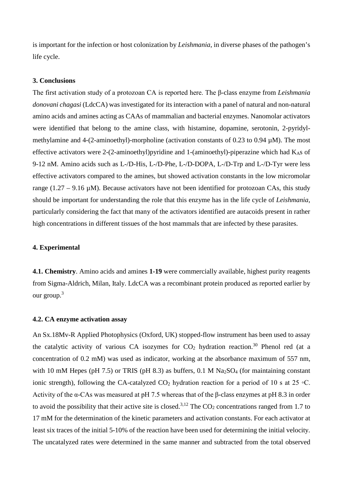is important for the infection or host colonization by *Leishmania*, in diverse phases of the pathogen's life cycle.

### **3. Conclusions**

The first activation study of a protozoan CA is reported here. The β-class enzyme from *Leishmania donovani chagasi* (LdcCA) was investigated for its interaction with a panel of natural and non-natural amino acids and amines acting as CAAs of mammalian and bacterial enzymes. Nanomolar activators were identified that belong to the amine class, with histamine, dopamine, serotonin, 2-pyridylmethylamine and 4-(2-aminoethyl)-morpholine (activation constants of 0.23 to 0.94  $\mu$ M). The most effective activators were 2-(2-aminoethyl)pyridine and 1-(aminoethyl)-piperazine which had  $K$ <sup>As</sup> of 9-12 nM. Amino acids such as L-/D-His, L-/D-Phe, L-/D-DOPA, L-/D-Trp and L-/D-Tyr were less effective activators compared to the amines, but showed activation constants in the low micromolar range (1.27 – 9.16  $\mu$ M). Because activators have not been identified for protozoan CAs, this study should be important for understanding the role that this enzyme has in the life cycle of *Leishmania*, particularly considering the fact that many of the activators identified are autacoids present in rather high concentrations in different tissues of the host mammals that are infected by these parasites.

#### **4. Experimental**

**4.1. Chemistry**. Amino acids and amines **1-19** were commercially available, highest purity reagents from Sigma-Aldrich, Milan, Italy. LdcCA was a recombinant protein produced as reported earlier by our group.3

#### **4.2. CA enzyme activation assay**

An Sx.18Mv-R Applied Photophysics (Oxford, UK) stopped-flow instrument has been used to assay the catalytic activity of various CA isozymes for  $CO<sub>2</sub>$  hydration reaction.<sup>30</sup> Phenol red (at a concentration of 0.2 mM) was used as indicator, working at the absorbance maximum of 557 nm, with 10 mM Hepes (pH 7.5) or TRIS (pH 8.3) as buffers, 0.1 M  $Na<sub>2</sub>SO<sub>4</sub>$  (for maintaining constant ionic strength), following the CA-catalyzed CO<sub>2</sub> hydration reaction for a period of 10 s at 25 °C. Activity of the α-CAs was measured at pH 7.5 whereas that of the β-class enzymes at pH 8.3 in order to avoid the possibility that their active site is closed.<sup>3,12</sup> The  $CO<sub>2</sub>$  concentrations ranged from 1.7 to 17 mM for the determination of the kinetic parameters and activation constants. For each activator at least six traces of the initial 5-10% of the reaction have been used for determining the initial velocity. The uncatalyzed rates were determined in the same manner and subtracted from the total observed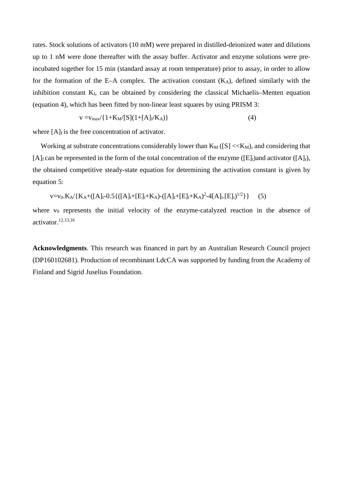rates. Stock solutions of activators (10 mM) were prepared in distilled-deionized water and dilutions up to 1 nM were done thereafter with the assay buffer. Activator and enzyme solutions were preincubated together for 15 min (standard assay at room temperature) prior to assay, in order to allow for the formation of the E–A complex. The activation constant  $(K_A)$ , defined similarly with the inhibition constant KI, can be obtained by considering the classical Michaelis–Menten equation (equation 4), which has been fitted by non-linear least squares by using PRISM 3:

$$
v = v_{max}/\{1 + K_M/[S](1 + [A]_f/K_A)\}\tag{4}
$$

where  $[A]_f$  is the free concentration of activator.

Working at substrate concentrations considerably lower than  $K_M ([S] \ll K_M)$ , and considering that [A]<sub>f</sub> can be represented in the form of the total concentration of the enzyme ([E]<sub>t</sub>)and activator ([A]<sub>t</sub>), the obtained competitive steady-state equation for determining the activation constant is given by equation 5:

$$
v = v_0.K_A / \{K_A + ([A]_t - 0.5\{([A]_t + [E]_t + K_A) - ([A]_t + [E]_t + K_A)^2 - 4[A]_t [E]_t\}^{1/2}\}\
$$
 (5)

where  $v_0$  represents the initial velocity of the enzyme-catalyzed reaction in the absence of activator. 12,13,16

**Acknowledgments**. This research was financed in part by an Australian Research Council project (DP160102681). Production of recombinant LdcCA was supported by funding from the Academy of Finland and Sigrid Juselius Foundation.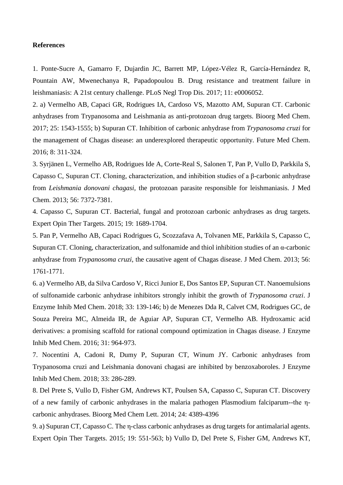#### **References**

1. Ponte-Sucre A, Gamarro F, Dujardin JC, Barrett MP, López-Vélez R, García-Hernández R, Pountain AW, Mwenechanya R, Papadopoulou B. Drug resistance and treatment failure in leishmaniasis: A 21st century challenge. PLoS Negl Trop Dis. 2017; 11: e0006052.

2. a) Vermelho AB, Capaci GR, Rodrigues IA, Cardoso VS, Mazotto AM, Supuran CT. Carbonic anhydrases from Trypanosoma and Leishmania as anti-protozoan drug targets. Bioorg Med Chem. 2017; 25: 1543-1555; b) Supuran CT. Inhibition of carbonic anhydrase from *Trypanosoma cruzi* for the management of Chagas disease: an underexplored therapeutic opportunity. Future Med Chem. 2016; 8: 311-324.

3. Syrjänen L, Vermelho AB, Rodrigues Ide A, Corte-Real S, Salonen T, Pan P, Vullo D, Parkkila S, Capasso C, Supuran CT. Cloning, characterization, and inhibition studies of a β-carbonic anhydrase from *Leishmania donovani chagasi*, the protozoan parasite responsible for leishmaniasis. J Med Chem. 2013; 56: 7372-7381.

4. Capasso C, Supuran CT. Bacterial, fungal and protozoan carbonic anhydrases as drug targets. Expert Opin Ther Targets. 2015; 19: 1689-1704.

5. Pan P, Vermelho AB, Capaci Rodrigues G, Scozzafava A, Tolvanen ME, Parkkila S, Capasso C, Supuran CT. Cloning, characterization, and sulfonamide and thiol inhibition studies of an α-carbonic anhydrase from *Trypanosoma cruzi*, the causative agent of Chagas disease. J Med Chem. 2013; 56: 1761-1771.

6. a) Vermelho AB, da Silva Cardoso V, Ricci Junior E, Dos Santos EP, Supuran CT. Nanoemulsions of sulfonamide carbonic anhydrase inhibitors strongly inhibit the growth of *Trypanosoma cruzi*. J Enzyme Inhib Med Chem. 2018; 33: 139-146; b) de Menezes Dda R, Calvet CM, Rodrigues GC, de Souza Pereira MC, Almeida IR, de Aguiar AP, Supuran CT, Vermelho AB. Hydroxamic acid derivatives: a promising scaffold for rational compound optimization in Chagas disease. J Enzyme Inhib Med Chem. 2016; 31: 964-973.

7. Nocentini A, Cadoni R, Dumy P, Supuran CT, Winum JY. Carbonic anhydrases from Trypanosoma cruzi and Leishmania donovani chagasi are inhibited by benzoxaboroles. J Enzyme Inhib Med Chem. 2018; 33: 286-289.

8. Del Prete S, Vullo D, Fisher GM, Andrews KT, Poulsen SA, Capasso C, Supuran CT. Discovery of a new family of carbonic anhydrases in the malaria pathogen Plasmodium falciparum--the ηcarbonic anhydrases. Bioorg Med Chem Lett. 2014; 24: 4389-4396

9. a) Supuran CT, Capasso C. The η-class carbonic anhydrases as drug targets for antimalarial agents. Expert Opin Ther Targets. 2015; 19: 551-563; b) Vullo D, Del Prete S, Fisher GM, Andrews KT,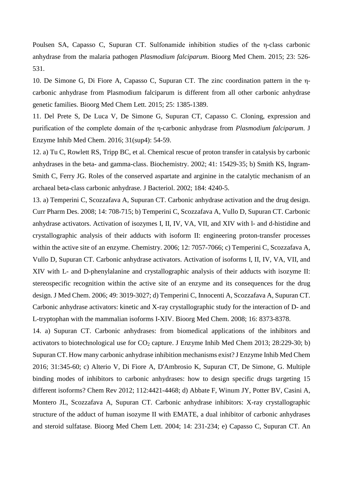Poulsen SA, Capasso C, Supuran CT. Sulfonamide inhibition studies of the η-class carbonic anhydrase from the malaria pathogen *Plasmodium falciparum*. Bioorg Med Chem. 2015; 23: 526- 531.

10. De Simone G, Di Fiore A, Capasso C, Supuran CT. The zinc coordination pattern in the ηcarbonic anhydrase from Plasmodium falciparum is different from all other carbonic anhydrase genetic families. Bioorg Med Chem Lett. 2015; 25: 1385-1389.

11. Del Prete S, De Luca V, De Simone G, Supuran CT, Capasso C. Cloning, expression and purification of the complete domain of the η-carbonic anhydrase from *Plasmodium falciparum*. J Enzyme Inhib Med Chem. 2016; 31(sup4): 54-59.

12. a) Tu C, Rowlett RS, Tripp BC, et al. Chemical rescue of proton transfer in catalysis by carbonic anhydrases in the beta- and gamma-class. Biochemistry. 2002; 41: 15429-35; b) Smith KS, Ingram-Smith C, Ferry JG. Roles of the conserved aspartate and arginine in the catalytic mechanism of an archaeal beta-class carbonic anhydrase. J Bacteriol. 2002; 184: 4240-5.

13. a) Temperini C, Scozzafava A, Supuran CT. Carbonic anhydrase activation and the drug design. Curr Pharm Des. 2008; 14: 708-715; b) Temperini C, Scozzafava A, Vullo D, Supuran CT. Carbonic anhydrase activators. Activation of isozymes I, II, IV, VA, VII, and XIV with l- and d-histidine and crystallographic analysis of their adducts with isoform II: engineering proton-transfer processes within the active site of an enzyme. Chemistry. 2006; 12: 7057-7066; c) Temperini C, Scozzafava A, Vullo D, Supuran CT. Carbonic anhydrase activators. Activation of isoforms I, II, IV, VA, VII, and XIV with L- and D-phenylalanine and crystallographic analysis of their adducts with isozyme II: stereospecific recognition within the active site of an enzyme and its consequences for the drug design. J Med Chem. 2006; 49: 3019-3027; d) Temperini C, Innocenti A, Scozzafava A, Supuran CT. Carbonic anhydrase activators: kinetic and X-ray crystallographic study for the interaction of D- and L-tryptophan with the mammalian isoforms I-XIV. Bioorg Med Chem. 2008; 16: 8373-8378.

14. a) Supuran CT. Carbonic anhydrases: from biomedical applications of the inhibitors and activators to biotechnological use for  $CO_2$  capture. J Enzyme Inhib Med Chem 2013; 28:229-30; b) Supuran CT. How many carbonic anhydrase inhibition mechanisms exist? J Enzyme Inhib Med Chem 2016; 31:345-60; c) Alterio V, Di Fiore A, D'Ambrosio K, Supuran CT, De Simone, G. Multiple binding modes of inhibitors to carbonic anhydrases: how to design specific drugs targeting 15 different isoforms? Chem Rev 2012; 112:4421-4468; d) Abbate F, Winum JY, Potter BV, Casini A, Montero JL, Scozzafava A, Supuran CT. Carbonic anhydrase inhibitors: X-ray crystallographic structure of the adduct of human isozyme II with EMATE, a dual inhibitor of carbonic anhydrases and steroid sulfatase. Bioorg Med Chem Lett. 2004; 14: 231-234; e) Capasso C, Supuran CT. An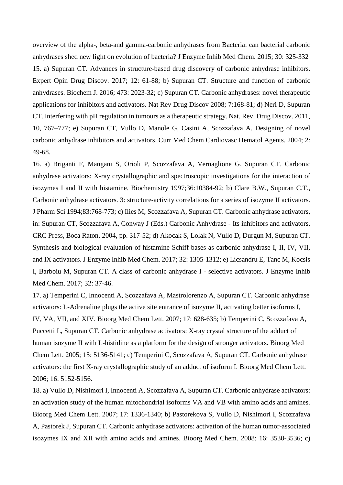overview of the alpha-, beta-and gamma-carbonic anhydrases from Bacteria: can bacterial carbonic anhydrases shed new light on evolution of bacteria? J Enzyme Inhib Med Chem. 2015; 30: 325-332 15. a) Supuran CT. Advances in structure-based drug discovery of carbonic anhydrase inhibitors. Expert Opin Drug Discov. 2017; 12: 61-88; b) Supuran CT. Structure and function of carbonic anhydrases. Biochem J. 2016; 473: 2023-32; c) Supuran CT. Carbonic anhydrases: novel therapeutic applications for inhibitors and activators. Nat Rev Drug Discov 2008; 7:168-81; d) Neri D, Supuran CT. Interfering with pH regulation in tumours as a therapeutic strategy. Nat. Rev. Drug Discov. 2011, 10, 767–777; e) Supuran CT, Vullo D, Manole G, Casini A, Scozzafava A. Designing of novel carbonic anhydrase inhibitors and activators. Curr Med Chem Cardiovasc Hematol Agents. 2004; 2: 49-68.

16. a) Briganti F, Mangani S, Orioli P, Scozzafava A, Vernaglione G, Supuran CT. Carbonic anhydrase activators: X-ray crystallographic and spectroscopic investigations for the interaction of isozymes I and II with histamine. Biochemistry 1997;36:10384-92; b) Clare B.W., Supuran C.T., Carbonic anhydrase activators. 3: structure-activity correlations for a series of isozyme II activators. J Pharm Sci 1994;83:768-773; c) Ilies M, Scozzafava A, Supuran CT. Carbonic anhydrase activators, in: Supuran CT, Scozzafava A, Conway J (Eds.) Carbonic Anhydrase - Its inhibitors and activators, CRC Press, Boca Raton, 2004, pp. 317-52; d) Akocak S, Lolak N, Vullo D, Durgun M, Supuran CT. Synthesis and biological evaluation of histamine Schiff bases as carbonic anhydrase I, II, IV, VII, and IX activators. J Enzyme Inhib Med Chem. 2017; 32: 1305-1312; e) Licsandru E, Tanc M, Kocsis I, Barboiu M, Supuran CT. A class of carbonic anhydrase I - selective activators. J Enzyme Inhib Med Chem. 2017; 32: 37-46.

17. a) Temperini C, Innocenti A, Scozzafava A, Mastrolorenzo A, Supuran CT. Carbonic anhydrase activators: L-Adrenaline plugs the active site entrance of isozyme II, activating better isoforms I, IV, VA, VII, and XIV. Bioorg Med Chem Lett. 2007; 17: 628-635; b) Temperini C, Scozzafava A, Puccetti L, Supuran CT. Carbonic anhydrase activators: X-ray crystal structure of the adduct of human isozyme II with L-histidine as a platform for the design of stronger activators. Bioorg Med Chem Lett. 2005; 15: 5136-5141; c) Temperini C, Scozzafava A, Supuran CT. Carbonic anhydrase activators: the first X-ray crystallographic study of an adduct of isoform I. Bioorg Med Chem Lett. 2006; 16: 5152-5156.

18. a) Vullo D, Nishimori I, Innocenti A, Scozzafava A, Supuran CT. Carbonic anhydrase activators: an activation study of the human mitochondrial isoforms VA and VB with amino acids and amines. Bioorg Med Chem Lett. 2007; 17: 1336-1340; b) Pastorekova S, Vullo D, Nishimori I, Scozzafava A, Pastorek J, Supuran CT. Carbonic anhydrase activators: activation of the human tumor-associated isozymes IX and XII with amino acids and amines. Bioorg Med Chem. 2008; 16: 3530-3536; c)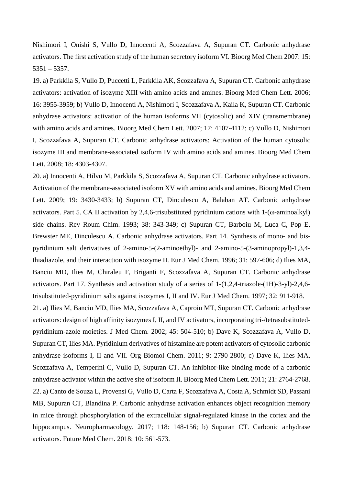Nishimori I, Onishi S, Vullo D, Innocenti A, Scozzafava A, Supuran CT. Carbonic anhydrase activators. The first activation study of the human secretory isoform VI. Bioorg Med Chem 2007: 15: 5351 – 5357.

19. a) Parkkila S, Vullo D, Puccetti L, Parkkila AK, Scozzafava A, Supuran CT. Carbonic anhydrase activators: activation of isozyme XIII with amino acids and amines. Bioorg Med Chem Lett. 2006; 16: 3955-3959; b) Vullo D, Innocenti A, Nishimori I, Scozzafava A, Kaila K, Supuran CT. Carbonic anhydrase activators: activation of the human isoforms VII (cytosolic) and XIV (transmembrane) with amino acids and amines. Bioorg Med Chem Lett. 2007; 17: 4107-4112; c) Vullo D, Nishimori I, Scozzafava A, Supuran CT. Carbonic anhydrase activators: Activation of the human cytosolic isozyme III and membrane-associated isoform IV with amino acids and amines. Bioorg Med Chem Lett. 2008; 18: 4303-4307.

20. a) Innocenti A, Hilvo M, Parkkila S, Scozzafava A, Supuran CT. Carbonic anhydrase activators. Activation of the membrane-associated isoform XV with amino acids and amines. Bioorg Med Chem Lett. 2009; 19: 3430-3433; b) Supuran CT, Dinculescu A, Balaban AT. Carbonic anhydrase activators. Part 5. CA II activation by 2,4,6-trisubstituted pyridinium cations with 1-(ω-aminoalkyl) side chains. Rev Roum Chim. 1993; 38: 343-349; c) Supuran CT, Barboiu M, Luca C, Pop E, Brewster ME, Dinculescu A. Carbonic anhydrase activators. Part 14. Synthesis of mono- and bispyridinium salt derivatives of 2-amino-5-(2-aminoethyl)- and 2-amino-5-(3-aminopropyl)-1,3,4 thiadiazole, and their interaction with isozyme II. Eur J Med Chem. 1996; 31: 597-606; d) Ilies MA, Banciu MD, Ilies M, Chiraleu F, Briganti F, Scozzafava A, Supuran CT. Carbonic anhydrase activators. Part 17. Synthesis and activation study of a series of 1-(1,2,4-triazole-(1H)-3-yl)-2,4,6 trisubstituted-pyridinium salts against isozymes I, II and IV. Eur J Med Chem. 1997; 32: 911-918.

21. a) Ilies M, Banciu MD, Ilies MA, Scozzafava A, Caproiu MT, Supuran CT. Carbonic anhydrase activators: design of high affinity isozymes I, II, and IV activators, incorporating tri-/tetrasubstitutedpyridinium-azole moieties. J Med Chem. 2002; 45: 504-510; b) Dave K, Scozzafava A, Vullo D, Supuran CT, Ilies MA. Pyridinium derivatives of histamine are potent activators of cytosolic carbonic anhydrase isoforms I, II and VII. Org Biomol Chem. 2011; 9: 2790-2800; c) Dave K, Ilies MA, Scozzafava A, Temperini C, Vullo D, Supuran CT. An inhibitor-like binding mode of a carbonic anhydrase activator within the active site of isoform II. Bioorg Med Chem Lett. 2011; 21: 2764-2768. 22. a) Canto de Souza L, Provensi G, Vullo D, Carta F, Scozzafava A, Costa A, Schmidt SD, Passani MB, Supuran CT, Blandina P. Carbonic anhydrase activation enhances object recognition memory in mice through phosphorylation of the extracellular signal-regulated kinase in the cortex and the hippocampus. Neuropharmacology. 2017; 118: 148-156; b) Supuran CT. Carbonic anhydrase activators. Future Med Chem. 2018; 10: 561-573.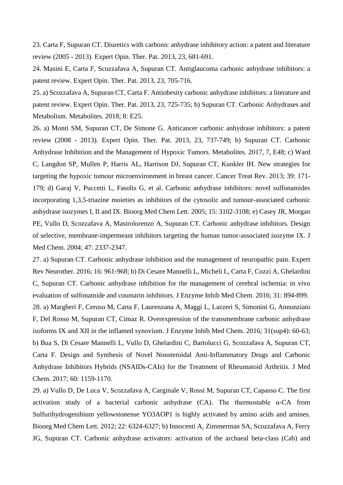23. Carta F, Supuran CT. Diuretics with carbonic anhydrase inhibitory action: a patent and literature review (2005 - 2013). Expert Opin. Ther. Pat. 2013, 23, 681-691.

24. Masini E, Carta F, Scozzafava A, Supuran CT. Antiglaucoma carbonic anhydrase inhibitors: a patent review. Expert Opin. Ther. Pat. 2013, 23, 705-716.

25. a) Scozzafava A, Supuran CT, Carta F. Antiobesity carbonic anhydrase inhibitors: a literature and patent review. Expert Opin. Ther. Pat. 2013, 23, 725-735; b) Supuran CT. Carbonic Anhydrases and Metabolism. Metabolites. 2018; 8: E25.

26. a) Monti SM, Supuran CT, De Simone G. Anticancer carbonic anhydrase inhibitors: a patent review (2008 - 2013). Expert Opin. Ther. Pat. 2013, 23, 737-749; b) Supuran CT. Carbonic Anhydrase Inhibition and the Management of Hypoxic Tumors. Metabolites. 2017, 7, E48; c) Ward C, Langdon SP, Mullen P, Harris AL, Harrison DJ, Supuran CT, Kunkler IH. New strategies for targeting the hypoxic tumour microenvironment in breast cancer. Cancer Treat Rev. 2013; 39: 171- 179; d) Garaj V, Puccetti L, Fasolis G, et al. Carbonic anhydrase inhibitors: novel sulfonamides incorporating 1,3,5-triazine moieties as inhibitors of the cytosolic and tumour-associated carbonic anhydrase isozymes I, II and IX. Bioorg Med Chem Lett. 2005; 15: 3102-3108; e) Casey JR, Morgan PE, Vullo D, Scozzafava A, Mastrolorenzo A, Supuran CT. Carbonic anhydrase inhibitors. Design of selective, membrane-impermeant inhibitors targeting the human tumor-associated isozyme IX. J Med Chem. 2004; 47: 2337-2347.

27. a) Supuran CT. Carbonic anhydrase inhibition and the management of neuropathic pain. Expert Rev Neurother. 2016; 16: 961-968; b) Di Cesare Mannelli L, Micheli L, Carta F, Cozzi A, Ghelardini C, Supuran CT. Carbonic anhydrase inhibition for the management of cerebral ischemia: in vivo evaluation of sulfonamide and coumarin inhibitors. J Enzyme Inhib Med Chem. 2016; 31: 894-899. 28. a) Margheri F, Ceruso M, Carta F, Laurenzana A, Maggi L, Lazzeri S, Simonini G, Annunziato F, Del Rosso M, Supuran CT, Cimaz R. Overexpression of the transmembrane carbonic anhydrase isoforms IX and XII in the inflamed synovium. J Enzyme Inhib Med Chem. 2016; 31(sup4): 60-63; b) Bua S, Di Cesare Mannelli L, Vullo D, Ghelardini C, Bartolucci G, Scozzafava A, Supuran CT, Carta F. Design and Synthesis of Novel Nonsteroidal Anti-Inflammatory Drugs and Carbonic Anhydrase Inhibitors Hybrids (NSAIDs-CAIs) for the Treatment of Rheumatoid Arthritis. J Med Chem. 2017; 60: 1159-1170.

29. a) Vullo D, De Luca V, Scozzafava A, Carginale V, Rossi M, Supuran CT, Capasso C. The first activation study of a bacterial carbonic anhydrase  $(CA)$ . The thermostable  $\alpha$ -CA from Sulfurihydrogenibium yellowstonense YO3AOP1 is highly activated by amino acids and amines. Bioorg Med Chem Lett. 2012; 22: 6324-6327; b) Innocenti A, Zimmerman SA, Scozzafava A, Ferry JG, Supuran CT. Carbonic anhydrase activators: activation of the archaeal beta-class (Cab) and